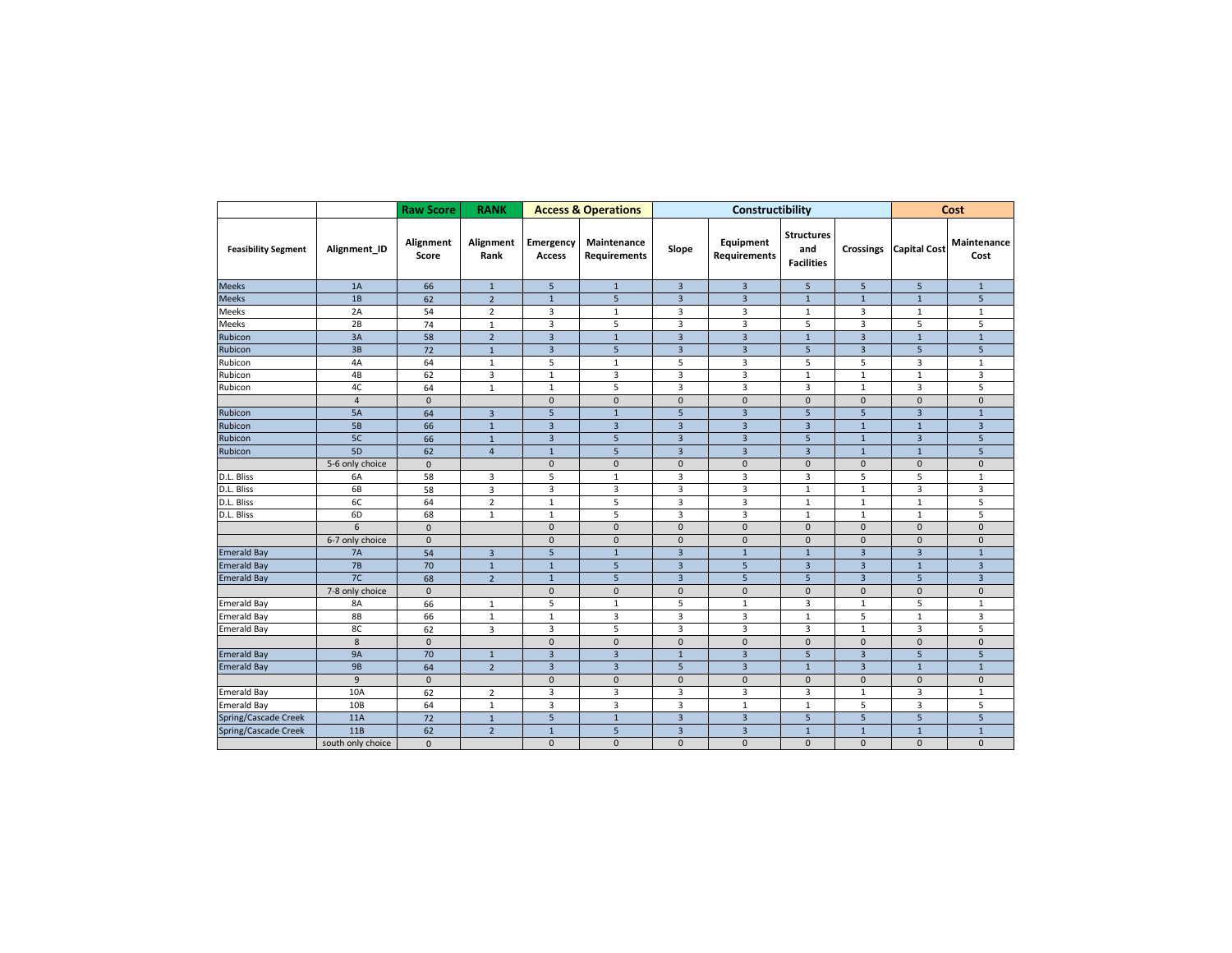|                            |                   | <b>Raw Score</b>   | <b>RANK</b>             |                     | <b>Access &amp; Operations</b>     |                         | Constructibility          | Cost                                          |                              |                     |                         |  |
|----------------------------|-------------------|--------------------|-------------------------|---------------------|------------------------------------|-------------------------|---------------------------|-----------------------------------------------|------------------------------|---------------------|-------------------------|--|
| <b>Feasibility Segment</b> | Alignment_ID      | Alignment<br>Score | Alignment<br>Rank       | Emergency<br>Access | Maintenance<br><b>Requirements</b> | Slope                   | Equipment<br>Requirements | <b>Structures</b><br>and<br><b>Facilities</b> | <b>Crossings</b>             | <b>Capital Cost</b> | Maintenance<br>Cost     |  |
| <b>Meeks</b>               | 1A                | 66                 | $\mathbf{1}$            | 5 <sup>5</sup>      | $\mathbf{1}$                       | $\overline{3}$          | $\overline{3}$            | 5                                             | 5                            | 5                   | $\mathbf{1}$            |  |
| <b>Meeks</b>               | 1B                | 62                 | $\overline{2}$          | $\mathbf{1}$        | 5                                  | $\overline{3}$          | $\overline{3}$            | $\mathbf{1}$                                  | $\mathbf{1}$                 | $\mathbf{1}$        | 5                       |  |
| Meeks                      | 2A                | 54                 | $\overline{2}$          | 3                   | $\mathbf{1}$                       | 3                       | 3                         | 1                                             | 3                            | $\mathbf{1}$        | $\mathbf{1}$            |  |
| Meeks                      | 2B                | 74                 | $\mathbf{1}$            | 3                   | 5                                  | $\overline{\mathbf{3}}$ | $\overline{\mathbf{3}}$   | 5                                             | 3                            | 5                   | 5                       |  |
| Rubicon                    | 3A                | 58                 | $\overline{2}$          | $\overline{3}$      | $\mathbf 1$                        | $\overline{3}$          | $\overline{3}$            | $\mathbf{1}$                                  | $\overline{\mathbf{3}}$      | $\mathbf{1}$        | $\mathbf 1$             |  |
| Rubicon                    | 3B                | 72                 | $\mathbf{1}$            | $\overline{3}$      | 5                                  | $\overline{3}$          | $\overline{3}$            | 5                                             | $\overline{3}$               | 5                   | 5                       |  |
| Rubicon                    | 4A                | 64                 | $\mathbf{1}$            | 5                   | $\mathbf{1}$                       | 5                       | 3                         | 5                                             | 5                            | 3                   |                         |  |
| Rubicon                    | 4B                | 62                 | 3                       | $\mathbf 1$         | 3                                  | 3                       | $\overline{\mathbf{3}}$   | $\mathbf 1$                                   | $\mathbf{1}$                 | $\mathbf 1$         | 3                       |  |
| Rubicon                    | 4C                | 64                 | $\mathbf 1$             | $\mathbf{1}$        | 5                                  | 3                       | 3                         | $\overline{3}$                                | $\mathbf{1}$                 | 3                   | 5                       |  |
|                            | $\overline{4}$    | $\pmb{0}$          |                         | $\mathsf{O}\xspace$ | $\mathbf 0$                        | $\mathsf 0$             | $\mathsf 0$               | $\pmb{0}$                                     | $\mathsf 0$                  | $\pmb{0}$           | $\mathsf 0$             |  |
| Rubicon                    | 5A                | 64                 | $\overline{3}$          | 5                   | $1\,$                              | 5                       | $\overline{3}$            | 5                                             | 5                            | 3                   | $\overline{1}$          |  |
| Rubicon                    | 5B                | 66                 | $\mathbf{1}$            | $\overline{3}$      | $\overline{3}$                     | $\overline{3}$          | $\overline{3}$            | $\overline{3}$                                | $\mathbf{1}$<br>$\mathbf{1}$ |                     | 3                       |  |
| Rubicon                    | 5C                | 66                 | $\mathbf{1}$            | $\overline{3}$      | 5                                  | $\overline{3}$          | $\overline{3}$            | 5                                             | $\mathbf{1}$                 | $\overline{3}$      | 5                       |  |
| Rubicon                    | 5D                | 62                 | $\overline{4}$          | $\mathbf{1}$        | 5                                  | $\overline{3}$          | $\overline{3}$            | $\overline{3}$                                | $\mathbf{1}$                 | $\mathbf{1}$        | 5                       |  |
|                            | 5-6 only choice   | $\mathbf{0}$       |                         | $\mathbf{0}$        | $\mathbf{0}$                       | $\mathbf{0}$            | $\mathbf{0}$              | $\mathbf{0}$                                  | $\mathbf{0}$                 | $\mathbf{0}$        | $\mathbf{0}$            |  |
| D.L. Bliss                 | 6A                | 58                 | $\overline{\mathbf{3}}$ | 5                   | $\mathbf 1$                        | 3                       | 3                         | 3                                             | 5                            | 5                   | $1\,$                   |  |
| D.L. Bliss                 | 6B                | 58                 | $\overline{3}$          | 3                   | 3                                  | 3                       | 3                         | $\mathbf 1$                                   | $\mathbf{1}$                 | 3                   | 3                       |  |
| D.L. Bliss                 | 6C                | 64                 | $\overline{2}$          | $\mathbf{1}$        | 5                                  | 3                       | 3                         | $\mathbf 1$                                   | $\mathbf{1}$                 | $\mathbf{1}$        | 5                       |  |
| D.L. Bliss                 | 6D                | 68                 | $\mathbf{1}$            | $\mathbf{1}$        | 5                                  | 3                       | 3                         | $\mathbf 1$                                   | $\mathbf{1}$                 | $\mathbf{1}$        | 5                       |  |
|                            | 6                 | $\pmb{0}$          |                         | $\mathbf{0}$        | $\mathbf{0}$                       | $\mathbf{0}$            | $\mathbf{0}$              | $\mathbf{0}$                                  | $\mathbf{0}$                 | $\mathbf{0}$        | $\mathbf{0}$            |  |
|                            | 6-7 only choice   | $\pmb{0}$          |                         | $\mathbf{0}$        | $\mathbf{0}$                       | $\mathbf{0}$            | $\mathbf{0}$              | $\mathbf 0$                                   | $\mathbf{0}$                 | $\mathbf{0}$        | $\mathbf{0}$            |  |
| <b>Emerald Bay</b>         | <b>7A</b>         | 54                 | $\overline{3}$          | 5                   | $\mathbf{1}$                       | $\overline{3}$          | $\mathbf{1}$              | $\mathbf{1}$                                  | $\overline{3}$               | $\overline{3}$      | $\mathbf{1}$            |  |
| <b>Emerald Bay</b>         | 7B                | 70                 | $\overline{1}$          | $\mathbf{1}$        | 5                                  | $\overline{\mathbf{3}}$ | $\overline{5}$            | $\overline{3}$                                | $\overline{\mathbf{3}}$      | $\overline{1}$      | $\overline{\mathbf{3}}$ |  |
| <b>Emerald Bay</b>         | 7C                | 68                 | $\overline{2}$          | $\mathbf{1}$        | 5                                  | $\overline{3}$          | 5                         | 5                                             | $\overline{3}$               | 5                   | $\overline{\mathbf{3}}$ |  |
|                            | 7-8 only choice   | $\mathbf{0}$       |                         | $\mathbf 0$         | $\mathbf 0$                        | $\mathbf 0$             | $\mathbf 0$               | $\mathbf 0$                                   | $\mathbf 0$                  | $\mathbf 0$         | $\mathbf 0$             |  |
| <b>Emerald Bay</b>         | <b>8A</b>         | 66                 | $\mathbf{1}$            | 5                   | $\mathbf{1}$                       | 5                       | $\mathbf{1}$              | $\overline{\mathbf{3}}$                       |                              | 5                   | $\mathbf{1}$            |  |
| <b>Emerald Bay</b>         | 8B                | 66                 | $\mathbf 1$             | $\mathbf{1}$        | 3                                  | 3                       | 3                         | $\mathbf{1}$                                  | 5                            | $\mathbf{1}$        | 3                       |  |
| <b>Emerald Bay</b>         | 8C                | 62                 | 3                       | 3                   | 5                                  | 3                       | 3                         | 3<br>$\mathbf{1}$                             |                              | 3                   | 5                       |  |
|                            | 8                 | 0                  |                         | $\mathbf{0}$        | $\mathsf{O}\xspace$                | $\mathbf{0}$            | $\mathsf 0$               | $\mathbf{0}$                                  | $\mathbf{0}$                 | $\mathbf{0}$        | $\mathbf{0}$            |  |
| <b>Emerald Bay</b>         | <b>9A</b>         | 70                 | $\mathbf{1}$            | $\overline{3}$      | $\overline{3}$                     | $1\,$                   | $\overline{\mathbf{3}}$   | 5                                             | $\overline{3}$               | 5                   | 5                       |  |
| <b>Emerald Bay</b>         | <b>9B</b>         | 64                 | $\overline{2}$          | $\overline{3}$      | $\overline{3}$                     | 5                       | $\overline{\mathbf{3}}$   | $\mathbf{1}$                                  | $\overline{3}$               | $\mathbf{1}$        | $\mathbf{1}$            |  |
|                            | 9                 | 0                  |                         | $\mathsf{O}\xspace$ | $\mathbf 0$                        | $\pmb{0}$               | $\mathsf 0$               | $\mathbf 0$                                   | $\mathsf 0$                  | $\pmb{0}$           | $\mathsf 0$             |  |
| <b>Emerald Bay</b>         | 10A               | 62                 | $\overline{2}$          | 3                   | $\overline{3}$                     | 3                       | $\overline{3}$            | $\overline{3}$                                | $\mathbf{1}$                 | 3                   | $\mathbf{1}$            |  |
| <b>Emerald Bay</b>         | 10 <sub>B</sub>   | 64                 | $\mathbf{1}$            | $\overline{3}$      | $\overline{3}$                     | $\overline{3}$          | $\mathbf{1}$              | $\mathbf{1}$                                  | 5                            | 3                   | 5                       |  |
| Spring/Cascade Creek       | 11A               | 72                 | $\mathbf 1$             | 5                   | $\mathbf{1}$                       | $\overline{3}$          | $\overline{3}$            | 5                                             | 5                            | 5                   | 5                       |  |
| Spring/Cascade Creek       | 11B               | 62                 | $\overline{2}$          | $\mathbf 1$         | 5                                  | $\overline{3}$          | $\overline{3}$            | $1\,$                                         | $\mathbf 1$                  | $\mathbf 1$         | $\mathbf 1$             |  |
|                            | south only choice | $\overline{0}$     |                         | $\mathbf{0}$        | $\mathbf{0}$                       | $\mathbf{0}$            | $\mathbf{0}$              | $\mathbf{0}$                                  | $\mathbf{0}$                 | $\mathbf{0}$        | $\mathbf{0}$            |  |